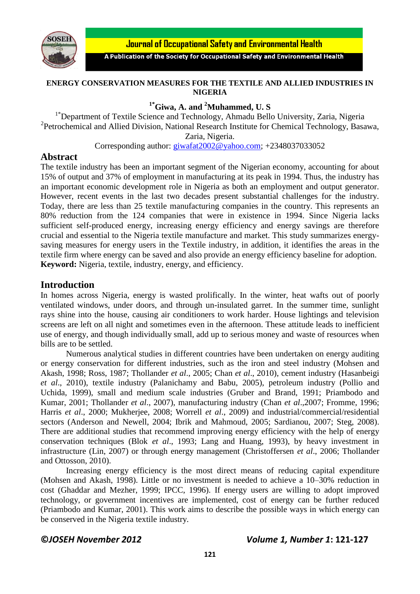

Journal of Occupational Safety and Environmental Health

A Publication of the Society for Occupational Safety and Environmental Health

## **ENERGY CONSERVATION MEASURES FOR THE TEXTILE AND ALLIED INDUSTRIES IN NIGERIA**

**1\*Giwa, A. and <sup>2</sup>Muhammed, U. S**

<sup>1\*</sup>Department of Textile Science and Technology, Ahmadu Bello University, Zaria, Nigeria <sup>2</sup>Petrochemical and Allied Division, National Research Institute for Chemical Technology, Basawa,

Zaria, Nigeria.

Corresponding author: [giwafat2002@yahoo.com;](mailto:giwafat2002@yahoo.com) +2348037033052

# **Abstract**

The textile industry has been an important segment of the Nigerian economy, accounting for about 15% of output and 37% of employment in manufacturing at its peak in 1994. Thus, the industry has an important economic development role in Nigeria as both an employment and output generator. However, recent events in the last two decades present substantial challenges for the industry. Today, there are less than 25 textile manufacturing companies in the country. This represents an 80% reduction from the 124 companies that were in existence in 1994. Since Nigeria lacks sufficient self-produced energy, increasing energy efficiency and energy savings are therefore crucial and essential to the Nigeria textile manufacture and market. This study summarizes energysaving measures for energy users in the Textile industry, in addition, it identifies the areas in the textile firm where energy can be saved and also provide an energy efficiency baseline for adoption. **Keyword:** Nigeria, textile, industry, energy, and efficiency.

# **Introduction**

In homes across Nigeria, energy is wasted prolifically. In the winter, heat wafts out of poorly ventilated windows, under doors, and through un-insulated garret. In the summer time, sunlight rays shine into the house, causing air conditioners to work harder. House lightings and television screens are left on all night and sometimes even in the afternoon. These attitude leads to inefficient use of energy, and though individually small, add up to serious money and waste of resources when bills are to be settled.

Numerous analytical studies in different countries have been undertaken on energy auditing or energy conservation for different industries, such as the iron and steel industry (Mohsen and Akash, 1998; Ross, 1987; Thollander *et al*., 2005; Chan *et al*., 2010), cement industry (Hasanbeigi *et al*., 2010), textile industry (Palanichamy and Babu, 2005), petroleum industry (Pollio and Uchida, 1999), small and medium scale industries (Gruber and Brand, 1991; Priambodo and Kumar, 2001; Thollander *et al*., 2007), manufacturing industry (Chan *et al*.,2007; Fromme, 1996; Harris *et al*., 2000; Mukherjee, 2008; Worrell *et al*., 2009) and industrial/commercial/residential sectors (Anderson and Newell, 2004; Ibrik and Mahmoud, 2005; Sardianou, 2007; Steg, 2008). There are additional studies that recommend improving energy efficiency with the help of energy conservation techniques (Blok *et al*., 1993; Lang and Huang, 1993), by heavy investment in infrastructure (Lin, 2007) or through energy management (Christoffersen *et al*., 2006; Thollander and Ottosson, 2010).

Increasing energy efficiency is the most direct means of reducing capital expenditure (Mohsen and Akash, 1998). Little or no investment is needed to achieve a 10–30% reduction in cost (Ghaddar and Mezher, 1999; IPCC, 1996). If energy users are willing to adopt improved technology, or government incentives are implemented, cost of energy can be further reduced (Priambodo and Kumar, 2001). This work aims to describe the possible ways in which energy can be conserved in the Nigeria textile industry.

# **©***JOSEH November 2012 Volume 1, Number 1***: 121-127**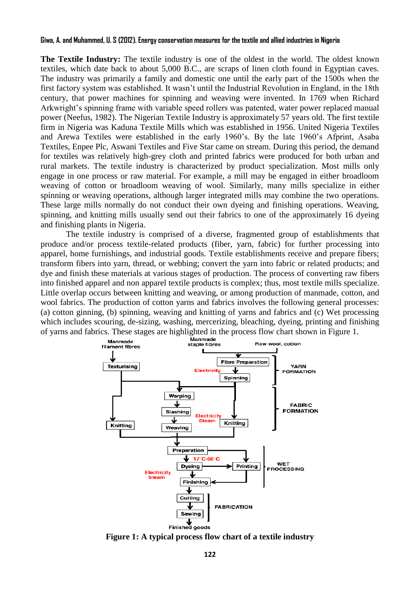#### **Giwa, A. and Muhammed, U. S (2012). Energy conservation measures for the textile and allied industries in Nigeria**

**The Textile Industry:** The textile industry is one of the oldest in the world. The oldest known textiles, which date back to about 5,000 B.C., are scraps of linen cloth found in Egyptian caves. The industry was primarily a family and domestic one until the early part of the 1500s when the first factory system was established. It wasn't until the Industrial Revolution in England, in the 18th century, that power machines for spinning and weaving were invented. In 1769 when Richard Arkwright's spinning frame with variable speed rollers was patented, water power replaced manual power (Neefus, 1982). The Nigerian Textile Industry is approximately 57 years old. The first textile firm in Nigeria was Kaduna Textile Mills which was established in 1956. United Nigeria Textiles and Arewa Textiles were established in the early 1960's. By the late 1960's Afprint, Asaba Textiles, Enpee Plc, Aswani Textiles and Five Star came on stream. During this period, the demand for textiles was relatively high-grey cloth and printed fabrics were produced for both urban and rural markets. The textile industry is characterized by product specialization. Most mills only engage in one process or raw material. For example, a mill may be engaged in either broadloom weaving of cotton or broadloom weaving of wool. Similarly, many mills specialize in either spinning or weaving operations, although larger integrated mills may combine the two operations. These large mills normally do not conduct their own dyeing and finishing operations. Weaving, spinning, and knitting mills usually send out their fabrics to one of the approximately 16 dyeing and finishing plants in Nigeria.

The textile industry is comprised of a diverse, fragmented group of establishments that produce and/or process textile-related products (fiber, yarn, fabric) for further processing into apparel, home furnishings, and industrial goods. Textile establishments receive and prepare fibers; transform fibers into yarn, thread, or webbing; convert the yarn into fabric or related products; and dye and finish these materials at various stages of production. The process of converting raw fibers into finished apparel and non apparel textile products is complex; thus, most textile mills specialize. Little overlap occurs between knitting and weaving, or among production of manmade, cotton, and wool fabrics. The production of cotton yarns and fabrics involves the following general processes: (a) cotton ginning, (b) spinning, weaving and knitting of yarns and fabrics and (c) Wet processing which includes scouring, de-sizing, washing, mercerizing, bleaching, dyeing, printing and finishing of yarns and fabrics. These stages are highlighted in the process flow chart shown in Figure 1.



**Figure 1: A typical process flow chart of a textile industry**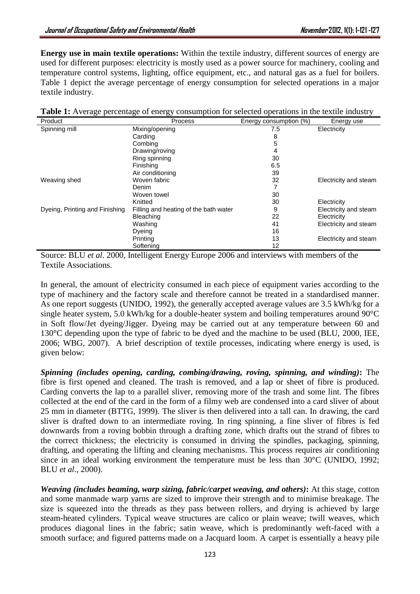**Energy use in main textile operations:** Within the textile industry, different sources of energy are used for different purposes: electricity is mostly used as a power source for machinery, cooling and temperature control systems, lighting, office equipment, etc., and natural gas as a fuel for boilers. Table 1 depict the average percentage of energy consumption for selected operations in a major textile industry.

| Product                        | Process                               | Energy consumption (%) | Energy use            |
|--------------------------------|---------------------------------------|------------------------|-----------------------|
| Spinning mill                  | Mixing/opening                        | 7.5                    | Electricity           |
|                                | Carding                               | 8                      |                       |
|                                | Combing                               | 5                      |                       |
|                                | Drawing/roving                        | 4                      |                       |
|                                | Ring spinning                         | 30                     |                       |
|                                | Finishing                             | 6.5                    |                       |
|                                | Air conditioning                      | 39                     |                       |
| Weaving shed                   | Woven fabric                          | 32                     | Electricity and steam |
|                                | Denim                                 |                        |                       |
|                                | Woven towel                           | 30                     |                       |
|                                | Knitted                               | 30                     | Electricity           |
| Dyeing, Printing and Finishing | Filling and heating of the bath water | 9                      | Electricity and steam |
|                                | Bleaching                             | 22                     | Electricity           |
|                                | Washing                               | 41                     | Electricity and steam |
|                                | Dyeing                                | 16                     |                       |
|                                | Printing                              | 13                     | Electricity and steam |
|                                | Softening                             | 12                     |                       |

| Table 1: Average percentage of energy consumption for selected operations in the textile industry |  |
|---------------------------------------------------------------------------------------------------|--|
|---------------------------------------------------------------------------------------------------|--|

Source: BLU *et al*. 2000, Intelligent Energy Europe 2006 and interviews with members of the Textile Associations.

In general, the amount of electricity consumed in each piece of equipment varies according to the type of machinery and the factory scale and therefore cannot be treated in a standardised manner. As one report suggests (UNIDO, 1992), the generally accepted average values are 3.5 kWh/kg for a single heater system, 5.0 kWh/kg for a double-heater system and boiling temperatures around 90°C in Soft flow/Jet dyeing/Jigger. Dyeing may be carried out at any temperature between 60 and 130°C depending upon the type of fabric to be dyed and the machine to be used (BLU, 2000, IEE, 2006; WBG, 2007). A brief description of textile processes, indicating where energy is used, is given below:

*Spinning (includes opening, carding, combing/drawing, roving, spinning, and winding)***:** The fibre is first opened and cleaned. The trash is removed, and a lap or sheet of fibre is produced. Carding converts the lap to a parallel sliver, removing more of the trash and some lint. The fibres collected at the end of the card in the form of a filmy web are condensed into a card sliver of about 25 mm in diameter (BTTG, 1999). The sliver is then delivered into a tall can. In drawing, the card sliver is drafted down to an intermediate roving. In ring spinning, a fine sliver of fibres is fed downwards from a roving bobbin through a drafting zone, which drafts out the strand of fibres to the correct thickness; the electricity is consumed in driving the spindles, packaging, spinning, drafting, and operating the lifting and cleaning mechanisms. This process requires air conditioning since in an ideal working environment the temperature must be less than 30°C (UNIDO, 1992; BLU *et al*., 2000).

*Weaving (includes beaming, warp sizing, fabric/carpet weaving, and others)***:** At this stage, cotton and some manmade warp yarns are sized to improve their strength and to minimise breakage. The size is squeezed into the threads as they pass between rollers, and drying is achieved by large steam-heated cylinders. Typical weave structures are calico or plain weave; twill weaves, which produces diagonal lines in the fabric; satin weave, which is predominantly weft-faced with a smooth surface; and figured patterns made on a Jacquard loom. A carpet is essentially a heavy pile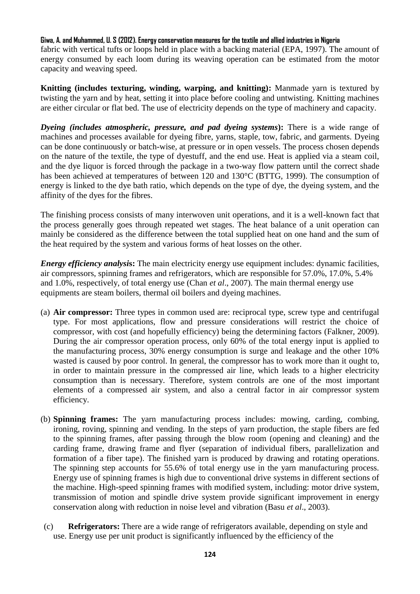## **Giwa, A. and Muhammed, U. S (2012). Energy conservation measures for the textile and allied industries in Nigeria**

fabric with vertical tufts or loops held in place with a backing material (EPA, 1997). The amount of energy consumed by each loom during its weaving operation can be estimated from the motor capacity and weaving speed.

**Knitting (includes texturing, winding, warping, and knitting):** Manmade yarn is textured by twisting the yarn and by heat, setting it into place before cooling and untwisting. Knitting machines are either circular or flat bed. The use of electricity depends on the type of machinery and capacity.

*Dyeing (includes atmospheric, pressure, and pad dyeing systems***):** There is a wide range of machines and processes available for dyeing fibre, yarns, staple, tow, fabric, and garments. Dyeing can be done continuously or batch-wise, at pressure or in open vessels. The process chosen depends on the nature of the textile, the type of dyestuff, and the end use. Heat is applied via a steam coil, and the dye liquor is forced through the package in a two-way flow pattern until the correct shade has been achieved at temperatures of between 120 and 130°C (BTTG, 1999). The consumption of energy is linked to the dye bath ratio, which depends on the type of dye, the dyeing system, and the affinity of the dyes for the fibres.

The finishing process consists of many interwoven unit operations, and it is a well-known fact that the process generally goes through repeated wet stages. The heat balance of a unit operation can mainly be considered as the difference between the total supplied heat on one hand and the sum of the heat required by the system and various forms of heat losses on the other.

*Energy efficiency analysi***s:** The main electricity energy use equipment includes: dynamic facilities, air compressors, spinning frames and refrigerators, which are responsible for 57.0%, 17.0%, 5.4% and 1.0%, respectively, of total energy use (Chan *et al*., 2007). The main thermal energy use equipments are steam boilers, thermal oil boilers and dyeing machines.

- (a) **Air compressor:** Three types in common used are: reciprocal type, screw type and centrifugal type. For most applications, flow and pressure considerations will restrict the choice of compressor, with cost (and hopefully efficiency) being the determining factors (Falkner, 2009). During the air compressor operation process, only 60% of the total energy input is applied to the manufacturing process, 30% energy consumption is surge and leakage and the other 10% wasted is caused by poor control. In general, the compressor has to work more than it ought to, in order to maintain pressure in the compressed air line, which leads to a higher electricity consumption than is necessary. Therefore, system controls are one of the most important elements of a compressed air system, and also a central factor in air compressor system efficiency.
- (b) **Spinning frames:** The yarn manufacturing process includes: mowing, carding, combing, ironing, roving, spinning and vending. In the steps of yarn production, the staple fibers are fed to the spinning frames, after passing through the blow room (opening and cleaning) and the carding frame, drawing frame and flyer (separation of individual fibers, parallelization and formation of a fiber tape). The finished yarn is produced by drawing and rotating operations. The spinning step accounts for 55.6% of total energy use in the yarn manufacturing process. Energy use of spinning frames is high due to conventional drive systems in different sections of the machine. High-speed spinning frames with modified system, including: motor drive system, transmission of motion and spindle drive system provide significant improvement in energy conservation along with reduction in noise level and vibration (Basu *et al*., 2003).
- (c) **Refrigerators:** There are a wide range of refrigerators available, depending on style and use. Energy use per unit product is significantly influenced by the efficiency of the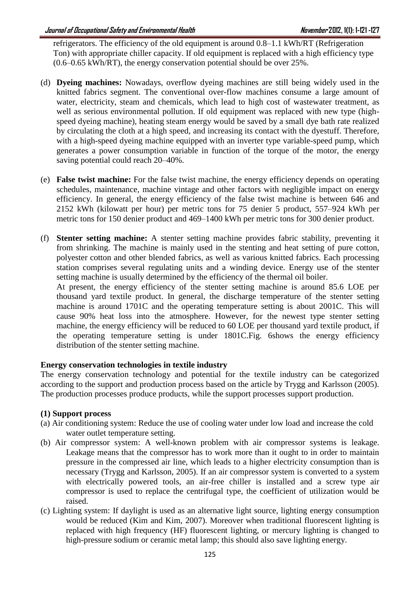refrigerators. The efficiency of the old equipment is around 0.8–1.1 kWh/RT (Refrigeration Ton) with appropriate chiller capacity. If old equipment is replaced with a high efficiency type (0.6–0.65 kWh/RT), the energy conservation potential should be over 25%.

- (d) **Dyeing machines:** Nowadays, overflow dyeing machines are still being widely used in the knitted fabrics segment. The conventional over-flow machines consume a large amount of water, electricity, steam and chemicals, which lead to high cost of wastewater treatment, as well as serious environmental pollution. If old equipment was replaced with new type (highspeed dyeing machine), heating steam energy would be saved by a small dye bath rate realized by circulating the cloth at a high speed, and increasing its contact with the dyestuff. Therefore, with a high-speed dyeing machine equipped with an inverter type variable-speed pump, which generates a power consumption variable in function of the torque of the motor, the energy saving potential could reach 20–40%.
- (e) **False twist machine:** For the false twist machine, the energy efficiency depends on operating schedules, maintenance, machine vintage and other factors with negligible impact on energy efficiency. In general, the energy efficiency of the false twist machine is between 646 and 2152 kWh (kilowatt per hour) per metric tons for 75 denier 5 product, 557–924 kWh per metric tons for 150 denier product and 469–1400 kWh per metric tons for 300 denier product.
- (f) **Stenter setting machine:** A stenter setting machine provides fabric stability, preventing it from shrinking. The machine is mainly used in the stenting and heat setting of pure cotton, polyester cotton and other blended fabrics, as well as various knitted fabrics. Each processing station comprises several regulating units and a winding device. Energy use of the stenter setting machine is usually determined by the efficiency of the thermal oil boiler.

At present, the energy efficiency of the stenter setting machine is around 85.6 LOE per thousand yard textile product. In general, the discharge temperature of the stenter setting machine is around 1701C and the operating temperature setting is about 2001C. This will cause 90% heat loss into the atmosphere. However, for the newest type stenter setting machine, the energy efficiency will be reduced to 60 LOE per thousand yard textile product, if the operating temperature setting is under 1801C.Fig. 6shows the energy efficiency distribution of the stenter setting machine.

# **Energy conservation technologies in textile industry**

The energy conservation technology and potential for the textile industry can be categorized according to the support and production process based on the article by Trygg and Karlsson (2005). The production processes produce products, while the support processes support production.

## **(1) Support process**

- (a) Air conditioning system: Reduce the use of cooling water under low load and increase the cold water outlet temperature setting.
- (b) Air compressor system: A well-known problem with air compressor systems is leakage. Leakage means that the compressor has to work more than it ought to in order to maintain pressure in the compressed air line, which leads to a higher electricity consumption than is necessary (Trygg and Karlsson, 2005). If an air compressor system is converted to a system with electrically powered tools, an air-free chiller is installed and a screw type air compressor is used to replace the centrifugal type, the coefficient of utilization would be raised.
- (c) Lighting system: If daylight is used as an alternative light source, lighting energy consumption would be reduced (Kim and Kim, 2007). Moreover when traditional fluorescent lighting is replaced with high frequency (HF) fluorescent lighting, or mercury lighting is changed to high-pressure sodium or ceramic metal lamp; this should also save lighting energy.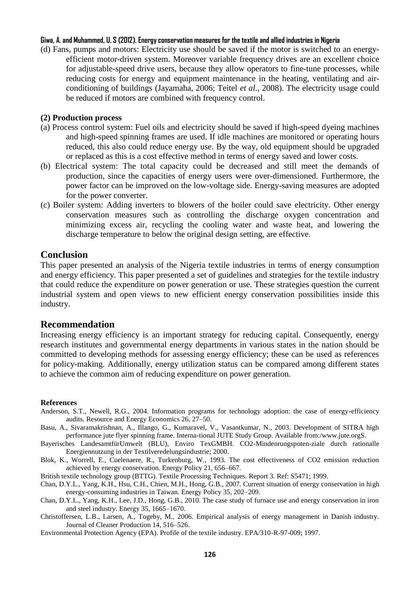#### **Giwa, A. and Muhammed, U. S (2012). Energy conservation measures for the textile and allied industries in Nigeria**

(d) Fans, pumps and motors: Electricity use should be saved if the motor is switched to an energyefficient motor-driven system. Moreover variable frequency drives are an excellent choice for adjustable-speed drive users, because they allow operators to fine-tune processes, while reducing costs for energy and equipment maintenance in the heating, ventilating and airconditioning of buildings (Jayamaha, 2006; Teitel *et al*., 2008). The electricity usage could be reduced if motors are combined with frequency control.

#### **(2) Production process**

- (a) Process control system: Fuel oils and electricity should be saved if high-speed dyeing machines and high-speed spinning frames are used. If idle machines are monitored or operating hours reduced, this also could reduce energy use. By the way, old equipment should be upgraded or replaced as this is a cost effective method in terms of energy saved and lower costs.
- (b) Electrical system: The total capacity could be decreased and still meet the demands of production, since the capacities of energy users were over-dimensioned. Furthermore, the power factor can be improved on the low-voltage side. Energy-saving measures are adopted for the power converter.
- (c) Boiler system: Adding inverters to blowers of the boiler could save electricity. Other energy conservation measures such as controlling the discharge oxygen concentration and minimizing excess air, recycling the cooling water and waste heat, and lowering the discharge temperature to below the original design setting, are effective.

## **Conclusion**

This paper presented an analysis of the Nigeria textile industries in terms of energy consumption and energy efficiency. This paper presented a set of guidelines and strategies for the textile industry that could reduce the expenditure on power generation or use. These strategies question the current industrial system and open views to new efficient energy conservation possibilities inside this industry.

### **Recommendation**

Increasing energy efficiency is an important strategy for reducing capital. Consequently, energy research institutes and governmental energy departments in various states in the nation should be committed to developing methods for assessing energy efficiency; these can be used as references for policy-making. Additionally, energy utilization status can be compared among different states to achieve the common aim of reducing expenditure on power generation.

#### **References**

- Anderson, S.T., Newell, R.G., 2004. Information programs for technology adoption: the case of energy-efficiency audits. Resource and Energy Economics 26, 27–50.
- Basu, A., Sivaramakrishnan, A., Illango, G., Kumaravel, V., Vasantkumar, N., 2003. Development of SITRA high performance jute flyer spinning frame. Interna-tional JUTE Study Group. Available from:/www.jute.orgS.
- Bayerisches LandesamtfürUmwelt (BLU), Enviro TexGMBH. CO2-Mindenrungspoten-ziale durch rationalle Energiennutzung in der Textilveredelungsindustrie; 2000.
- Blok, K., Worrell, E., Cuelenaere, R., Turkenburg, W., 1993. The cost effectiveness of CO2 emission reduction achieved by energy conservation. Energy Policy 21, 656–667.
- British textile technology group (BTTG). Textile Processing Techniques. Report 3. Ref: S5471; 1999.
- Chan, D.Y.L., Yang, K.H., Hsu, C.H., Chien, M.H., Hong, G.B., 2007. Current situation of energy conservation in high energy-consuming industries in Taiwan. Energy Policy 35, 202–209.
- Chan, D.Y.L., Yang, K.H., Lee, J.D., Hong, G.B., 2010. The case study of furnace use and energy conservation in iron and steel industry. Energy 35, 1665–1670.
- Christoffersen, L.B., Larsen, A., Togeby, M., 2006. Empirical analysis of energy management in Danish industry. Journal of Cleaner Production 14, 516–526.
- Environmental Protection Agency (EPA). Profile of the textile industry. EPA/310-R-97-009; 1997.